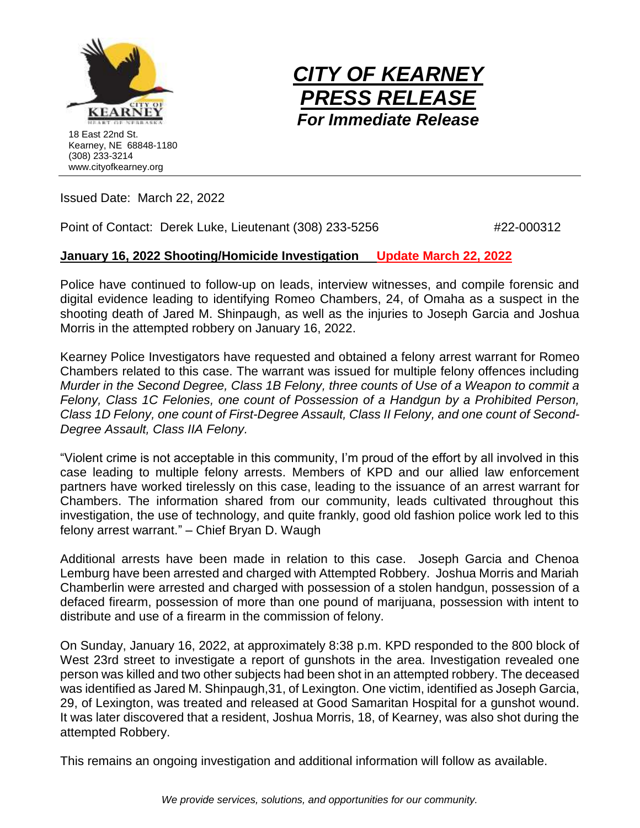



Issued Date: March 22, 2022

Point of Contact: Derek Luke, Lieutenant (308) 233-5256  $#22$ -000312

## **January 16, 2022 Shooting/Homicide Investigation Update March 22, 2022**

Police have continued to follow-up on leads, interview witnesses, and compile forensic and digital evidence leading to identifying Romeo Chambers, 24, of Omaha as a suspect in the shooting death of Jared M. Shinpaugh, as well as the injuries to Joseph Garcia and Joshua Morris in the attempted robbery on January 16, 2022.

Kearney Police Investigators have requested and obtained a felony arrest warrant for Romeo Chambers related to this case. The warrant was issued for multiple felony offences including *Murder in the Second Degree, Class 1B Felony, three counts of Use of a Weapon to commit a Felony, Class 1C Felonies, one count of Possession of a Handgun by a Prohibited Person, Class 1D Felony, one count of First-Degree Assault, Class II Felony, and one count of Second-Degree Assault, Class IIA Felony.*

"Violent crime is not acceptable in this community, I'm proud of the effort by all involved in this case leading to multiple felony arrests. Members of KPD and our allied law enforcement partners have worked tirelessly on this case, leading to the issuance of an arrest warrant for Chambers. The information shared from our community, leads cultivated throughout this investigation, the use of technology, and quite frankly, good old fashion police work led to this felony arrest warrant." – Chief Bryan D. Waugh

Additional arrests have been made in relation to this case. Joseph Garcia and Chenoa Lemburg have been arrested and charged with Attempted Robbery. Joshua Morris and Mariah Chamberlin were arrested and charged with possession of a stolen handgun, possession of a defaced firearm, possession of more than one pound of marijuana, possession with intent to distribute and use of a firearm in the commission of felony.

On Sunday, January 16, 2022, at approximately 8:38 p.m. KPD responded to the 800 block of West 23rd street to investigate a report of gunshots in the area. Investigation revealed one person was killed and two other subjects had been shot in an attempted robbery. The deceased was identified as Jared M. Shinpaugh,31, of Lexington. One victim, identified as Joseph Garcia, 29, of Lexington, was treated and released at Good Samaritan Hospital for a gunshot wound. It was later discovered that a resident, Joshua Morris, 18, of Kearney, was also shot during the attempted Robbery.

This remains an ongoing investigation and additional information will follow as available.